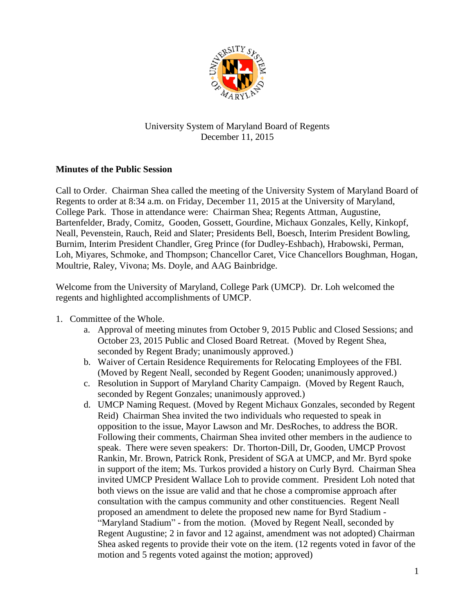

## University System of Maryland Board of Regents December 11, 2015

## **Minutes of the Public Session**

Call to Order. Chairman Shea called the meeting of the University System of Maryland Board of Regents to order at 8:34 a.m. on Friday, December 11, 2015 at the University of Maryland, College Park. Those in attendance were: Chairman Shea; Regents Attman, Augustine, Bartenfelder, Brady, Comitz, Gooden, Gossett, Gourdine, Michaux Gonzales, Kelly, Kinkopf, Neall, Pevenstein, Rauch, Reid and Slater; Presidents Bell, Boesch, Interim President Bowling, Burnim, Interim President Chandler, Greg Prince (for Dudley-Eshbach), Hrabowski, Perman, Loh, Miyares, Schmoke, and Thompson; Chancellor Caret, Vice Chancellors Boughman, Hogan, Moultrie, Raley, Vivona; Ms. Doyle, and AAG Bainbridge.

Welcome from the University of Maryland, College Park (UMCP). Dr. Loh welcomed the regents and highlighted accomplishments of UMCP.

- 1. Committee of the Whole.
	- a. Approval of meeting minutes from October 9, 2015 Public and Closed Sessions; and October 23, 2015 Public and Closed Board Retreat. (Moved by Regent Shea, seconded by Regent Brady; unanimously approved.)
	- b. Waiver of Certain Residence Requirements for Relocating Employees of the FBI. (Moved by Regent Neall, seconded by Regent Gooden; unanimously approved.)
	- c. Resolution in Support of Maryland Charity Campaign. (Moved by Regent Rauch, seconded by Regent Gonzales; unanimously approved.)
	- d. UMCP Naming Request. (Moved by Regent Michaux Gonzales, seconded by Regent Reid) Chairman Shea invited the two individuals who requested to speak in opposition to the issue, Mayor Lawson and Mr. DesRoches, to address the BOR. Following their comments, Chairman Shea invited other members in the audience to speak. There were seven speakers: Dr. Thorton-Dill, Dr, Gooden, UMCP Provost Rankin, Mr. Brown, Patrick Ronk, President of SGA at UMCP, and Mr. Byrd spoke in support of the item; Ms. Turkos provided a history on Curly Byrd. Chairman Shea invited UMCP President Wallace Loh to provide comment. President Loh noted that both views on the issue are valid and that he chose a compromise approach after consultation with the campus community and other constituencies. Regent Neall proposed an amendment to delete the proposed new name for Byrd Stadium - "Maryland Stadium" - from the motion. (Moved by Regent Neall, seconded by Regent Augustine; 2 in favor and 12 against, amendment was not adopted) Chairman Shea asked regents to provide their vote on the item. (12 regents voted in favor of the motion and 5 regents voted against the motion; approved)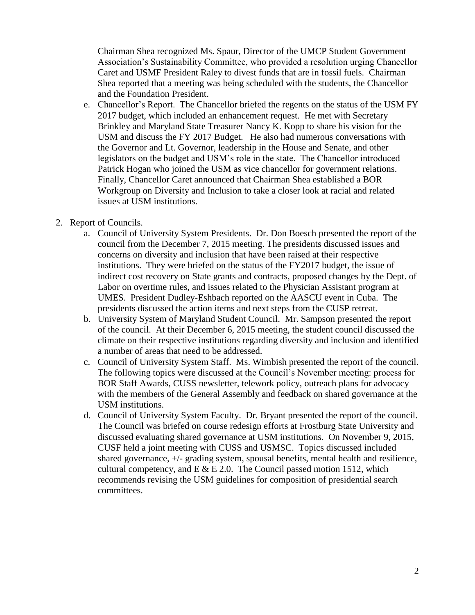Chairman Shea recognized Ms. Spaur, Director of the UMCP Student Government Association's Sustainability Committee, who provided a resolution urging Chancellor Caret and USMF President Raley to divest funds that are in fossil fuels. Chairman Shea reported that a meeting was being scheduled with the students, the Chancellor and the Foundation President.

- e. Chancellor's Report. The Chancellor briefed the regents on the status of the USM FY 2017 budget, which included an enhancement request. He met with Secretary Brinkley and Maryland State Treasurer Nancy K. Kopp to share his vision for the USM and discuss the FY 2017 Budget. He also had numerous conversations with the Governor and Lt. Governor, leadership in the House and Senate, and other legislators on the budget and USM's role in the state. The Chancellor introduced Patrick Hogan who joined the USM as vice chancellor for government relations. Finally, Chancellor Caret announced that Chairman Shea established a BOR Workgroup on Diversity and Inclusion to take a closer look at racial and related issues at USM institutions.
- 2. Report of Councils.
	- a. Council of University System Presidents. Dr. Don Boesch presented the report of the council from the December 7, 2015 meeting. The presidents discussed issues and concerns on diversity and inclusion that have been raised at their respective institutions. They were briefed on the status of the FY2017 budget, the issue of indirect cost recovery on State grants and contracts, proposed changes by the Dept. of Labor on overtime rules, and issues related to the Physician Assistant program at UMES. President Dudley-Eshbach reported on the AASCU event in Cuba. The presidents discussed the action items and next steps from the CUSP retreat.
	- b. University System of Maryland Student Council. Mr. Sampson presented the report of the council. At their December 6, 2015 meeting, the student council discussed the climate on their respective institutions regarding diversity and inclusion and identified a number of areas that need to be addressed.
	- c. Council of University System Staff. Ms. Wimbish presented the report of the council. The following topics were discussed at the Council's November meeting: process for BOR Staff Awards, CUSS newsletter, telework policy, outreach plans for advocacy with the members of the General Assembly and feedback on shared governance at the USM institutions.
	- d. Council of University System Faculty. Dr. Bryant presented the report of the council. The Council was briefed on course redesign efforts at Frostburg State University and discussed evaluating shared governance at USM institutions. On November 9, 2015, CUSF held a joint meeting with CUSS and USMSC. Topics discussed included shared governance, +/- grading system, spousal benefits, mental health and resilience, cultural competency, and  $E \& E 2.0$ . The Council passed motion 1512, which recommends revising the USM guidelines for composition of presidential search committees.